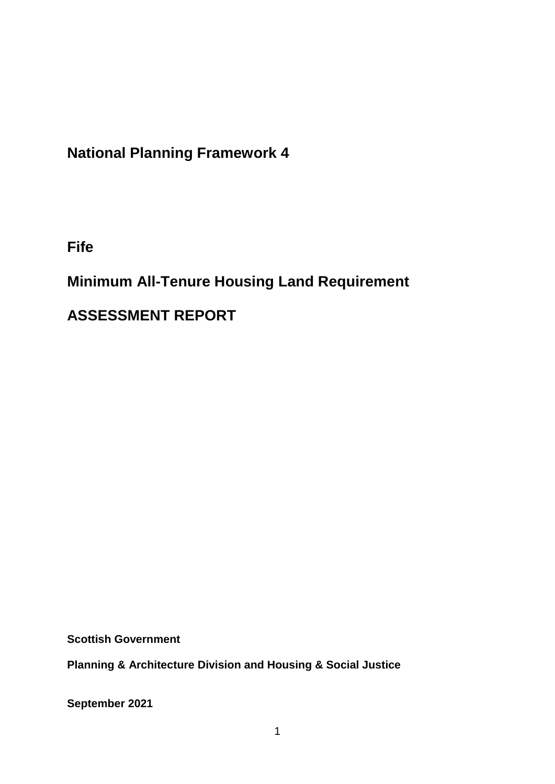## **National Planning Framework 4**

**Fife**

# **Minimum All-Tenure Housing Land Requirement**

# **ASSESSMENT REPORT**

**Scottish Government**

**Planning & Architecture Division and Housing & Social Justice** 

**September 2021**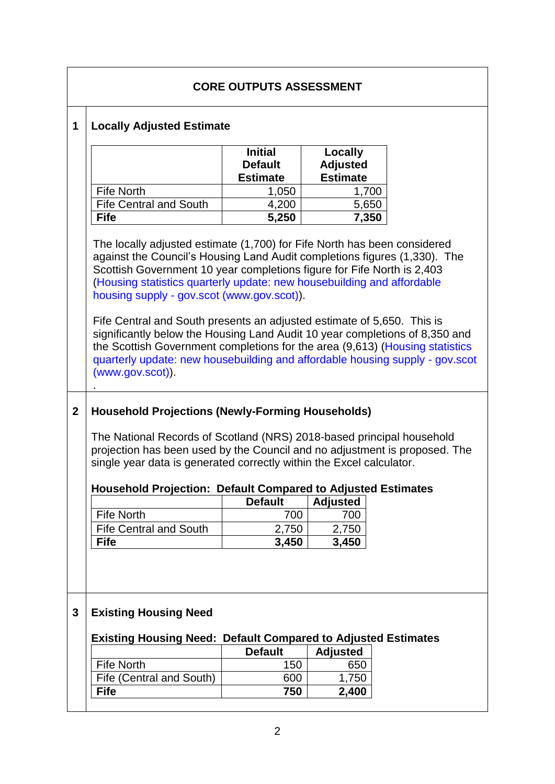|             | <b>CORE OUTPUTS ASSESSMENT</b>                                                                                                                                                                                                                                                                                                                                                                                                                                                                                                                                                                                                                                                                                                                                                                                                                                                                                                                                                                    |                                                     |                                               |       |  |  |  |
|-------------|---------------------------------------------------------------------------------------------------------------------------------------------------------------------------------------------------------------------------------------------------------------------------------------------------------------------------------------------------------------------------------------------------------------------------------------------------------------------------------------------------------------------------------------------------------------------------------------------------------------------------------------------------------------------------------------------------------------------------------------------------------------------------------------------------------------------------------------------------------------------------------------------------------------------------------------------------------------------------------------------------|-----------------------------------------------------|-----------------------------------------------|-------|--|--|--|
| 1           | <b>Locally Adjusted Estimate</b>                                                                                                                                                                                                                                                                                                                                                                                                                                                                                                                                                                                                                                                                                                                                                                                                                                                                                                                                                                  |                                                     |                                               |       |  |  |  |
|             |                                                                                                                                                                                                                                                                                                                                                                                                                                                                                                                                                                                                                                                                                                                                                                                                                                                                                                                                                                                                   | <b>Initial</b><br><b>Default</b><br><b>Estimate</b> | Locally<br><b>Adjusted</b><br><b>Estimate</b> |       |  |  |  |
|             | <b>Fife North</b>                                                                                                                                                                                                                                                                                                                                                                                                                                                                                                                                                                                                                                                                                                                                                                                                                                                                                                                                                                                 | 1,050                                               |                                               | 1,700 |  |  |  |
|             | <b>Fife Central and South</b>                                                                                                                                                                                                                                                                                                                                                                                                                                                                                                                                                                                                                                                                                                                                                                                                                                                                                                                                                                     | 4,200                                               |                                               | 5,650 |  |  |  |
|             | <b>Fife</b>                                                                                                                                                                                                                                                                                                                                                                                                                                                                                                                                                                                                                                                                                                                                                                                                                                                                                                                                                                                       | 5,250                                               |                                               | 7,350 |  |  |  |
| $\mathbf 2$ | The locally adjusted estimate (1,700) for Fife North has been considered<br>against the Council's Housing Land Audit completions figures (1,330). The<br>Scottish Government 10 year completions figure for Fife North is 2,403<br>(Housing statistics quarterly update: new housebuilding and affordable<br>housing supply - gov.scot (www.gov.scot)).<br>Fife Central and South presents an adjusted estimate of 5,650. This is<br>significantly below the Housing Land Audit 10 year completions of 8,350 and<br>the Scottish Government completions for the area (9,613) (Housing statistics<br>quarterly update: new housebuilding and affordable housing supply - gov.scot<br>$(www.gov.scot)$ ).<br><b>Household Projections (Newly-Forming Households)</b><br>The National Records of Scotland (NRS) 2018-based principal household<br>projection has been used by the Council and no adjustment is proposed. The<br>single year data is generated correctly within the Excel calculator. |                                                     |                                               |       |  |  |  |
|             | <b>Household Projection: Default Compared to Adjusted Estimates</b>                                                                                                                                                                                                                                                                                                                                                                                                                                                                                                                                                                                                                                                                                                                                                                                                                                                                                                                               |                                                     |                                               |       |  |  |  |
|             |                                                                                                                                                                                                                                                                                                                                                                                                                                                                                                                                                                                                                                                                                                                                                                                                                                                                                                                                                                                                   | <b>Default</b>                                      | <b>Adjusted</b>                               |       |  |  |  |
|             | <b>Fife North</b>                                                                                                                                                                                                                                                                                                                                                                                                                                                                                                                                                                                                                                                                                                                                                                                                                                                                                                                                                                                 | 700                                                 | 700                                           |       |  |  |  |
|             | <b>Fife Central and South</b>                                                                                                                                                                                                                                                                                                                                                                                                                                                                                                                                                                                                                                                                                                                                                                                                                                                                                                                                                                     | 2,750                                               | 2,750                                         |       |  |  |  |
|             | <b>Fife</b>                                                                                                                                                                                                                                                                                                                                                                                                                                                                                                                                                                                                                                                                                                                                                                                                                                                                                                                                                                                       | 3,450                                               | 3,450                                         |       |  |  |  |
| 3           | <b>Existing Housing Need</b><br><b>Existing Housing Need: Default Compared to Adjusted Estimates</b>                                                                                                                                                                                                                                                                                                                                                                                                                                                                                                                                                                                                                                                                                                                                                                                                                                                                                              |                                                     |                                               |       |  |  |  |
|             |                                                                                                                                                                                                                                                                                                                                                                                                                                                                                                                                                                                                                                                                                                                                                                                                                                                                                                                                                                                                   | <b>Default</b>                                      | <b>Adjusted</b>                               |       |  |  |  |
|             | <b>Fife North</b>                                                                                                                                                                                                                                                                                                                                                                                                                                                                                                                                                                                                                                                                                                                                                                                                                                                                                                                                                                                 | 150                                                 | 650                                           |       |  |  |  |
|             | Fife (Central and South)                                                                                                                                                                                                                                                                                                                                                                                                                                                                                                                                                                                                                                                                                                                                                                                                                                                                                                                                                                          | 600                                                 | 1,750                                         |       |  |  |  |
|             | <b>Fife</b>                                                                                                                                                                                                                                                                                                                                                                                                                                                                                                                                                                                                                                                                                                                                                                                                                                                                                                                                                                                       | 750                                                 | 2,400                                         |       |  |  |  |
|             |                                                                                                                                                                                                                                                                                                                                                                                                                                                                                                                                                                                                                                                                                                                                                                                                                                                                                                                                                                                                   |                                                     |                                               |       |  |  |  |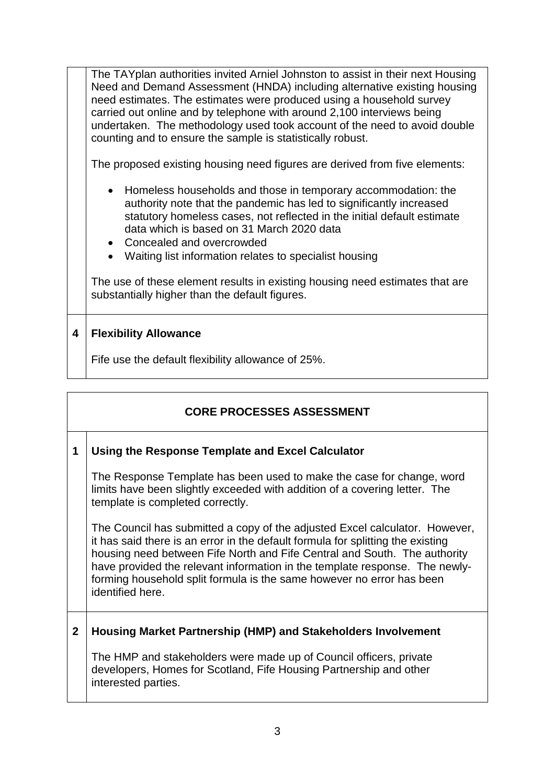The TAYplan authorities invited Arniel Johnston to assist in their next Housing Need and Demand Assessment (HNDA) including alternative existing housing need estimates. The estimates were produced using a household survey carried out online and by telephone with around 2,100 interviews being undertaken. The methodology used took account of the need to avoid double counting and to ensure the sample is statistically robust.

The proposed existing housing need figures are derived from five elements:

- Homeless households and those in temporary accommodation: the authority note that the pandemic has led to significantly increased statutory homeless cases, not reflected in the initial default estimate data which is based on 31 March 2020 data
- Concealed and overcrowded
- Waiting list information relates to specialist housing

The use of these element results in existing housing need estimates that are substantially higher than the default figures.

### **4 Flexibility Allowance**

Fife use the default flexibility allowance of 25%.

| <b>CORE PROCESSES ASSESSMENT</b> |                                                                                                                                                                                                                                                                                                                                                                                                                         |  |  |  |
|----------------------------------|-------------------------------------------------------------------------------------------------------------------------------------------------------------------------------------------------------------------------------------------------------------------------------------------------------------------------------------------------------------------------------------------------------------------------|--|--|--|
| 1                                | Using the Response Template and Excel Calculator                                                                                                                                                                                                                                                                                                                                                                        |  |  |  |
|                                  | The Response Template has been used to make the case for change, word<br>limits have been slightly exceeded with addition of a covering letter. The<br>template is completed correctly.                                                                                                                                                                                                                                 |  |  |  |
|                                  | The Council has submitted a copy of the adjusted Excel calculator. However,<br>it has said there is an error in the default formula for splitting the existing<br>housing need between Fife North and Fife Central and South. The authority<br>have provided the relevant information in the template response. The newly-<br>forming household split formula is the same however no error has been<br>identified here. |  |  |  |
| $\mathbf{2}$                     | Housing Market Partnership (HMP) and Stakeholders Involvement                                                                                                                                                                                                                                                                                                                                                           |  |  |  |
|                                  | The HMP and stakeholders were made up of Council officers, private<br>developers, Homes for Scotland, Fife Housing Partnership and other<br>interested parties.                                                                                                                                                                                                                                                         |  |  |  |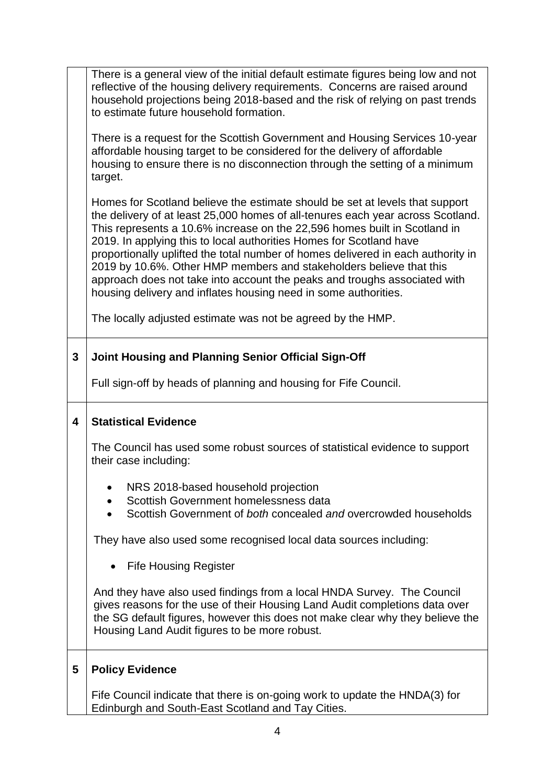There is a general view of the initial default estimate figures being low and not reflective of the housing delivery requirements. Concerns are raised around household projections being 2018-based and the risk of relying on past trends to estimate future household formation.

There is a request for the Scottish Government and Housing Services 10-year affordable housing target to be considered for the delivery of affordable housing to ensure there is no disconnection through the setting of a minimum target.

Homes for Scotland believe the estimate should be set at levels that support the delivery of at least 25,000 homes of all-tenures each year across Scotland. This represents a 10.6% increase on the 22,596 homes built in Scotland in 2019. In applying this to local authorities Homes for Scotland have proportionally uplifted the total number of homes delivered in each authority in 2019 by 10.6%. Other HMP members and stakeholders believe that this approach does not take into account the peaks and troughs associated with housing delivery and inflates housing need in some authorities.

The locally adjusted estimate was not be agreed by the HMP.

### **3 Joint Housing and Planning Senior Official Sign-Off**

Full sign-off by heads of planning and housing for Fife Council.

#### **4 Statistical Evidence**

The Council has used some robust sources of statistical evidence to support their case including:

- NRS 2018-based household projection
- Scottish Government homelessness data
- Scottish Government of *both* concealed *and* overcrowded households

They have also used some recognised local data sources including:

• Fife Housing Register

And they have also used findings from a local HNDA Survey. The Council gives reasons for the use of their Housing Land Audit completions data over the SG default figures, however this does not make clear why they believe the Housing Land Audit figures to be more robust.

### **5 Policy Evidence**

Fife Council indicate that there is on-going work to update the HNDA(3) for Edinburgh and South-East Scotland and Tay Cities.